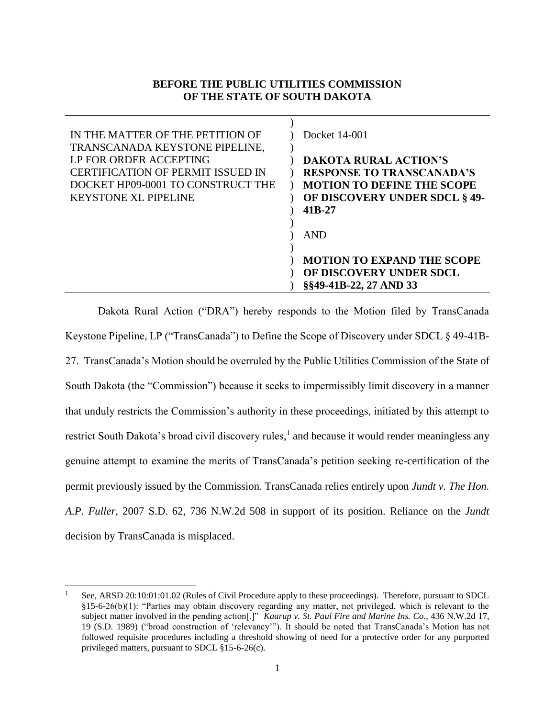## **BEFORE THE PUBLIC UTILITIES COMMISSION OF THE STATE OF SOUTH DAKOTA**

| IN THE MATTER OF THE PETITION OF                                                              | Docket 14-001                                                                       |
|-----------------------------------------------------------------------------------------------|-------------------------------------------------------------------------------------|
| TRANSCANADA KEYSTONE PIPELINE,<br>LP FOR ORDER ACCEPTING<br>CERTIFICATION OF PERMIT ISSUED IN | <b>DAKOTA RURAL ACTION'S</b><br><b>RESPONSE TO TRANSCANADA'S</b>                    |
| DOCKET HP09-0001 TO CONSTRUCT THE<br><b>KEYSTONE XL PIPELINE</b>                              | <b>MOTION TO DEFINE THE SCOPE</b><br><b>OF DISCOVERY UNDER SDCL § 49-</b><br>41B-27 |
|                                                                                               | <b>AND</b>                                                                          |
|                                                                                               | <b>MOTION TO EXPAND THE SCOPE</b><br>OF DISCOVERY UNDER SDCL                        |
|                                                                                               | §§49-41B-22, 27 AND 33                                                              |

Dakota Rural Action ("DRA") hereby responds to the Motion filed by TransCanada Keystone Pipeline, LP ("TransCanada") to Define the Scope of Discovery under SDCL § 49-41B-27. TransCanada's Motion should be overruled by the Public Utilities Commission of the State of South Dakota (the "Commission") because it seeks to impermissibly limit discovery in a manner that unduly restricts the Commission's authority in these proceedings, initiated by this attempt to restrict South Dakota's broad civil discovery rules,<sup>1</sup> and because it would render meaningless any genuine attempt to examine the merits of TransCanada's petition seeking re-certification of the permit previously issued by the Commission. TransCanada relies entirely upon *Jundt v. The Hon. A.P. Fuller*, 2007 S.D. 62, 736 N.W.2d 508 in support of its position. Reliance on the *Jundt* decision by TransCanada is misplaced.

 $\overline{a}$ 

<sup>1</sup> See, ARSD 20:10:01:01.02 (Rules of Civil Procedure apply to these proceedings). Therefore, pursuant to SDCL §15-6-26(b)(1): "Parties may obtain discovery regarding any matter, not privileged, which is relevant to the subject matter involved in the pending action[.]" *Kaarup v. St. Paul Fire and Marine Ins. Co.*, 436 N.W.2d 17, 19 (S.D. 1989) ("broad construction of 'relevancy'"). It should be noted that TransCanada's Motion has not followed requisite procedures including a threshold showing of need for a protective order for any purported privileged matters, pursuant to SDCL §15-6-26(c).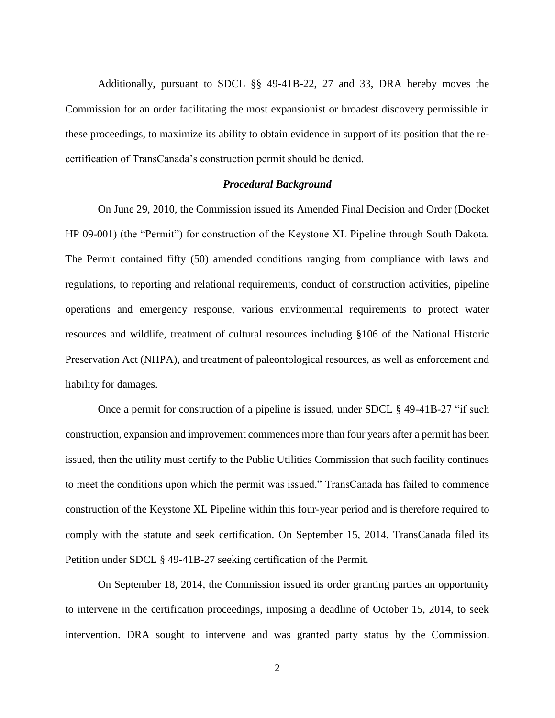Additionally, pursuant to SDCL §§ 49-41B-22, 27 and 33, DRA hereby moves the Commission for an order facilitating the most expansionist or broadest discovery permissible in these proceedings, to maximize its ability to obtain evidence in support of its position that the recertification of TransCanada's construction permit should be denied.

#### *Procedural Background*

On June 29, 2010, the Commission issued its Amended Final Decision and Order (Docket HP 09-001) (the "Permit") for construction of the Keystone XL Pipeline through South Dakota. The Permit contained fifty (50) amended conditions ranging from compliance with laws and regulations, to reporting and relational requirements, conduct of construction activities, pipeline operations and emergency response, various environmental requirements to protect water resources and wildlife, treatment of cultural resources including §106 of the National Historic Preservation Act (NHPA), and treatment of paleontological resources, as well as enforcement and liability for damages.

Once a permit for construction of a pipeline is issued, under SDCL § 49-41B-27 "if such construction, expansion and improvement commences more than four years after a permit has been issued, then the utility must certify to the Public Utilities Commission that such facility continues to meet the conditions upon which the permit was issued." TransCanada has failed to commence construction of the Keystone XL Pipeline within this four-year period and is therefore required to comply with the statute and seek certification. On September 15, 2014, TransCanada filed its Petition under SDCL § 49-41B-27 seeking certification of the Permit.

On September 18, 2014, the Commission issued its order granting parties an opportunity to intervene in the certification proceedings, imposing a deadline of October 15, 2014, to seek intervention. DRA sought to intervene and was granted party status by the Commission.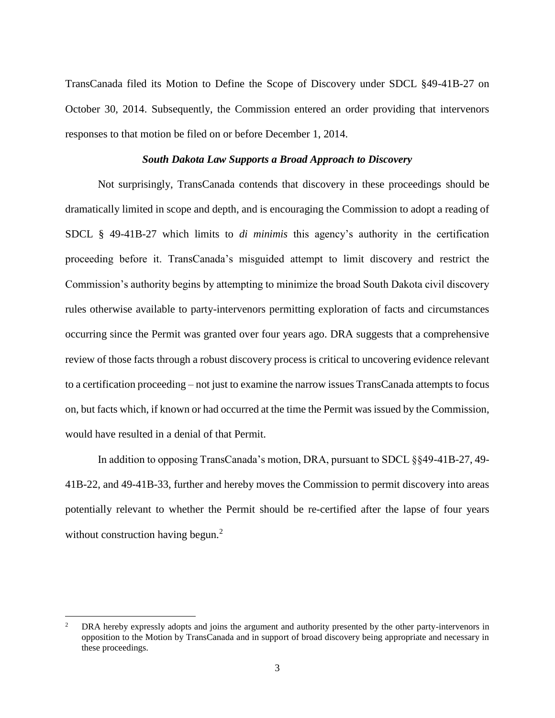TransCanada filed its Motion to Define the Scope of Discovery under SDCL §49-41B-27 on October 30, 2014. Subsequently, the Commission entered an order providing that intervenors responses to that motion be filed on or before December 1, 2014.

#### *South Dakota Law Supports a Broad Approach to Discovery*

Not surprisingly, TransCanada contends that discovery in these proceedings should be dramatically limited in scope and depth, and is encouraging the Commission to adopt a reading of SDCL § 49-41B-27 which limits to *di minimis* this agency's authority in the certification proceeding before it. TransCanada's misguided attempt to limit discovery and restrict the Commission's authority begins by attempting to minimize the broad South Dakota civil discovery rules otherwise available to party-intervenors permitting exploration of facts and circumstances occurring since the Permit was granted over four years ago. DRA suggests that a comprehensive review of those facts through a robust discovery process is critical to uncovering evidence relevant to a certification proceeding – not just to examine the narrow issues TransCanada attempts to focus on, but facts which, if known or had occurred at the time the Permit was issued by the Commission, would have resulted in a denial of that Permit.

In addition to opposing TransCanada's motion, DRA, pursuant to SDCL §§49-41B-27, 49- 41B-22, and 49-41B-33, further and hereby moves the Commission to permit discovery into areas potentially relevant to whether the Permit should be re-certified after the lapse of four years without construction having begun.<sup>2</sup>

 $\overline{a}$ 

<sup>2</sup> DRA hereby expressly adopts and joins the argument and authority presented by the other party-intervenors in opposition to the Motion by TransCanada and in support of broad discovery being appropriate and necessary in these proceedings.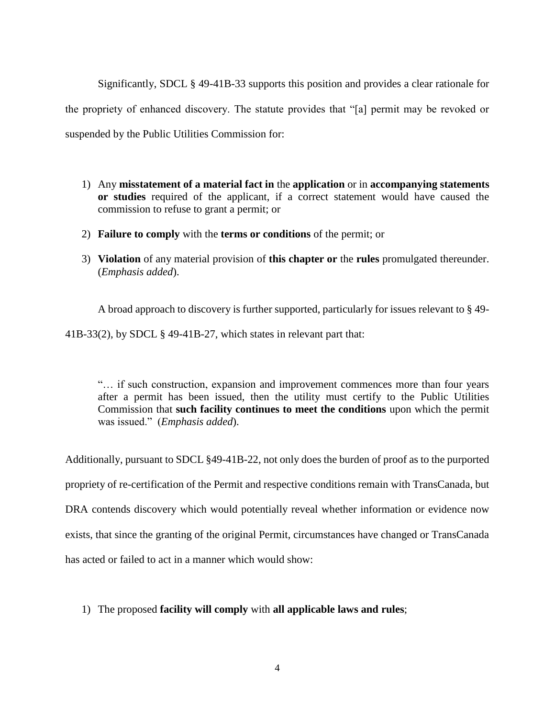Significantly, SDCL § 49-41B-33 supports this position and provides a clear rationale for the propriety of enhanced discovery. The statute provides that "[a] permit may be revoked or suspended by the Public Utilities Commission for:

- 1) Any **misstatement of a material fact in** the **application** or in **accompanying statements or studies** required of the applicant, if a correct statement would have caused the commission to refuse to grant a permit; or
- 2) **Failure to comply** with the **terms or conditions** of the permit; or
- 3) **Violation** of any material provision of **this chapter or** the **rules** promulgated thereunder. (*Emphasis added*).

A broad approach to discovery is further supported, particularly for issues relevant to § 49- 41B-33(2), by SDCL § 49-41B-27, which states in relevant part that:

"… if such construction, expansion and improvement commences more than four years after a permit has been issued, then the utility must certify to the Public Utilities Commission that **such facility continues to meet the conditions** upon which the permit was issued." (*Emphasis added*).

Additionally, pursuant to SDCL §49-41B-22, not only does the burden of proof as to the purported propriety of re-certification of the Permit and respective conditions remain with TransCanada, but DRA contends discovery which would potentially reveal whether information or evidence now exists, that since the granting of the original Permit, circumstances have changed or TransCanada has acted or failed to act in a manner which would show:

# 1) The proposed **facility will comply** with **all applicable laws and rules**;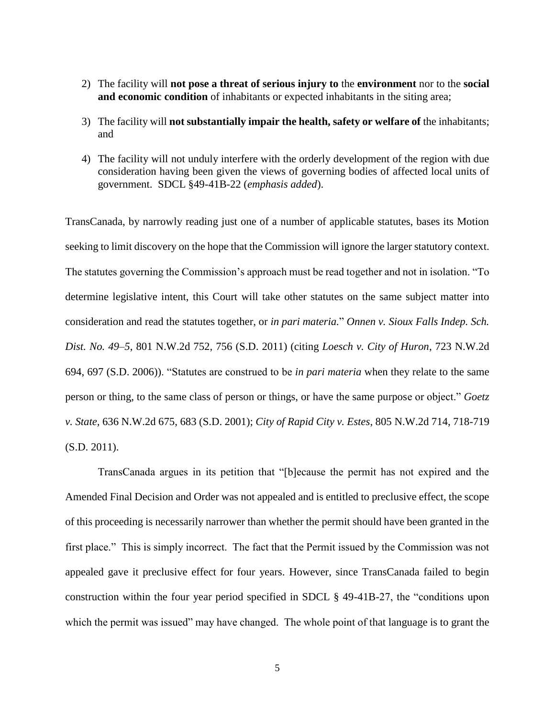- 2) The facility will **not pose a threat of serious injury to** the **environment** nor to the **social and economic condition** of inhabitants or expected inhabitants in the siting area;
- 3) The facility will **not substantially impair the health, safety or welfare of** the inhabitants; and
- 4) The facility will not unduly interfere with the orderly development of the region with due consideration having been given the views of governing bodies of affected local units of government. SDCL §49-41B-22 (*emphasis added*).

TransCanada, by narrowly reading just one of a number of applicable statutes, bases its Motion seeking to limit discovery on the hope that the Commission will ignore the larger statutory context. The statutes governing the Commission's approach must be read together and not in isolation. "To determine legislative intent, this Court will take other statutes on the same subject matter into consideration and read the statutes together, or *in pari materia.*" *Onnen v. Sioux Falls Indep. Sch. Dist. No. 49–5*, 801 N.W.2d 752, 756 (S.D. 2011) (citing *Loesch v. City of Huron*, 723 N.W.2d 694, 697 (S.D. 2006)). "Statutes are construed to be *in pari materia* when they relate to the same person or thing, to the same class of person or things, or have the same purpose or object." *Goetz v. State,* 636 N.W.2d 675, 683 (S.D. 2001); *City of Rapid City v. Estes*, 805 N.W.2d 714, 718-719 (S.D. 2011).

TransCanada argues in its petition that "[b]ecause the permit has not expired and the Amended Final Decision and Order was not appealed and is entitled to preclusive effect, the scope of this proceeding is necessarily narrower than whether the permit should have been granted in the first place." This is simply incorrect. The fact that the Permit issued by the Commission was not appealed gave it preclusive effect for four years. However, since TransCanada failed to begin construction within the four year period specified in SDCL § 49-41B-27, the "conditions upon which the permit was issued" may have changed. The whole point of that language is to grant the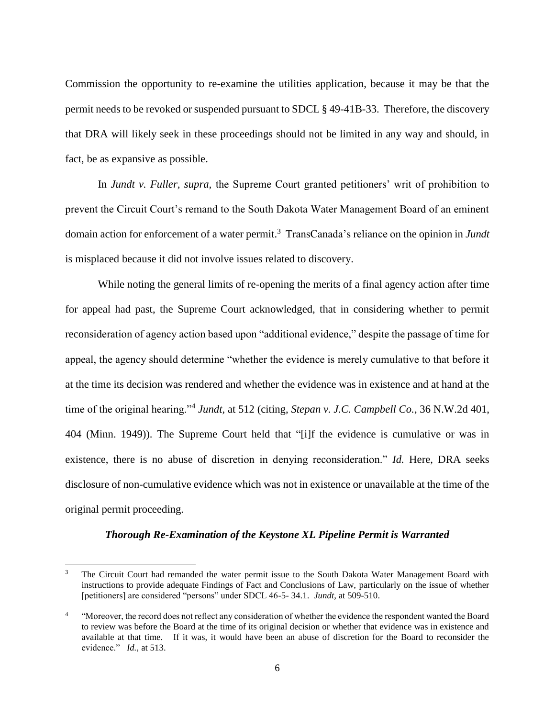Commission the opportunity to re-examine the utilities application, because it may be that the permit needs to be revoked or suspended pursuant to SDCL § 49-41B-33. Therefore, the discovery that DRA will likely seek in these proceedings should not be limited in any way and should, in fact, be as expansive as possible.

In *Jundt v. Fuller, supra,* the Supreme Court granted petitioners' writ of prohibition to prevent the Circuit Court's remand to the South Dakota Water Management Board of an eminent domain action for enforcement of a water permit.<sup>3</sup> TransCanada's reliance on the opinion in *Jundt* is misplaced because it did not involve issues related to discovery.

While noting the general limits of re-opening the merits of a final agency action after time for appeal had past, the Supreme Court acknowledged, that in considering whether to permit reconsideration of agency action based upon "additional evidence," despite the passage of time for appeal, the agency should determine "whether the evidence is merely cumulative to that before it at the time its decision was rendered and whether the evidence was in existence and at hand at the time of the original hearing."<sup>4</sup> Jundt, at 512 (citing, *Stepan v. J.C. Campbell Co.*, 36 N.W.2d 401, 404 (Minn. 1949)). The Supreme Court held that "[i]f the evidence is cumulative or was in existence, there is no abuse of discretion in denying reconsideration." *Id.* Here, DRA seeks disclosure of non-cumulative evidence which was not in existence or unavailable at the time of the original permit proceeding.

#### *Thorough Re-Examination of the Keystone XL Pipeline Permit is Warranted*

 $\overline{a}$ 

<sup>3</sup> The Circuit Court had remanded the water permit issue to the South Dakota Water Management Board with instructions to provide adequate Findings of Fact and Conclusions of Law, particularly on the issue of whether [petitioners] are considered "persons" under SDCL 46-5- 34.1. *Jundt*, at 509-510.

<sup>4</sup> "Moreover, the record does not reflect any consideration of whether the evidence the respondent wanted the Board to review was before the Board at the time of its original decision or whether that evidence was in existence and available at that time. If it was, it would have been an abuse of discretion for the Board to reconsider the evidence." *Id.,* at 513.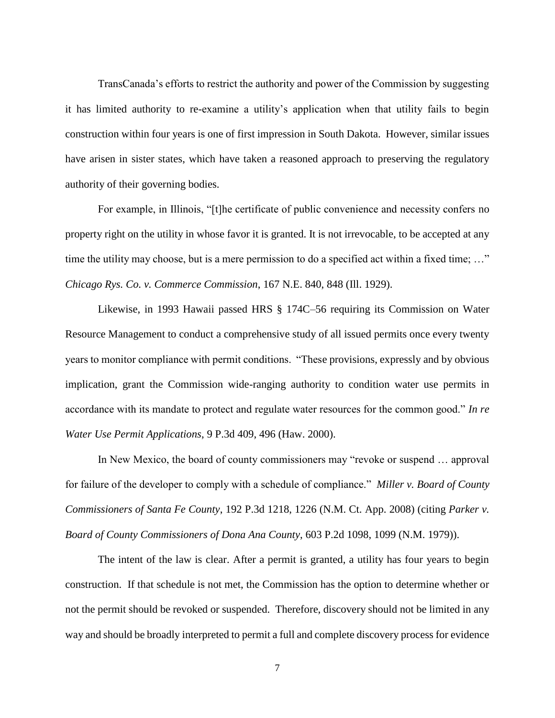TransCanada's efforts to restrict the authority and power of the Commission by suggesting it has limited authority to re-examine a utility's application when that utility fails to begin construction within four years is one of first impression in South Dakota. However, similar issues have arisen in sister states, which have taken a reasoned approach to preserving the regulatory authority of their governing bodies.

For example, in Illinois, "[t]he certificate of public convenience and necessity confers no property right on the utility in whose favor it is granted. It is not irrevocable, to be accepted at any time the utility may choose, but is a mere permission to do a specified act within a fixed time; ..." *Chicago Rys. Co. v. Commerce Commission*, 167 N.E. 840, 848 (Ill. 1929).

Likewise, in 1993 Hawaii passed HRS § 174C–56 requiring its Commission on Water Resource Management to conduct a comprehensive study of all issued permits once every twenty years to monitor compliance with permit conditions. "These provisions, expressly and by obvious implication, grant the Commission wide-ranging authority to condition water use permits in accordance with its mandate to protect and regulate water resources for the common good." *In re Water Use Permit Applications*, 9 P.3d 409, 496 (Haw. 2000).

In New Mexico, the board of county commissioners may "revoke or suspend … approval for failure of the developer to comply with a schedule of compliance." *Miller v. Board of County Commissioners of Santa Fe County*, 192 P.3d 1218, 1226 (N.M. Ct. App. 2008) (citing *Parker v. Board of County Commissioners of Dona Ana County*, 603 P.2d 1098, 1099 (N.M. 1979)).

The intent of the law is clear. After a permit is granted, a utility has four years to begin construction. If that schedule is not met, the Commission has the option to determine whether or not the permit should be revoked or suspended. Therefore, discovery should not be limited in any way and should be broadly interpreted to permit a full and complete discovery process for evidence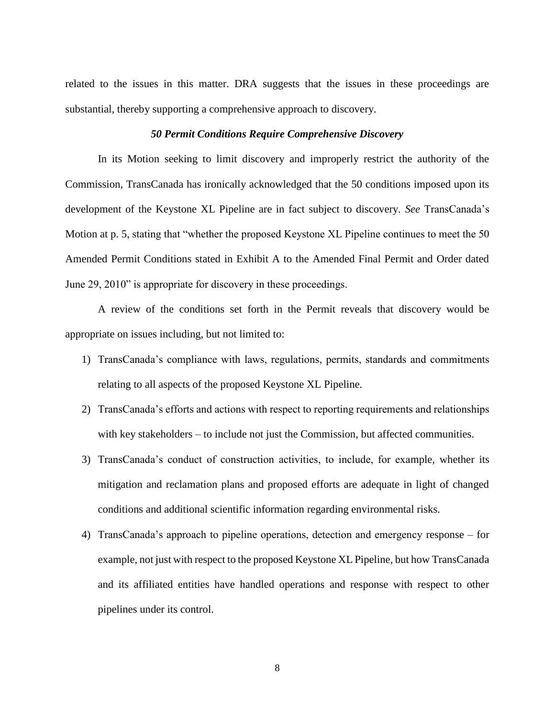related to the issues in this matter. DRA suggests that the issues in these proceedings are substantial, thereby supporting a comprehensive approach to discovery.

## *50 Permit Conditions Require Comprehensive Discovery*

In its Motion seeking to limit discovery and improperly restrict the authority of the Commission, TransCanada has ironically acknowledged that the 50 conditions imposed upon its development of the Keystone XL Pipeline are in fact subject to discovery. *See* TransCanada's Motion at p. 5, stating that "whether the proposed Keystone XL Pipeline continues to meet the 50 Amended Permit Conditions stated in Exhibit A to the Amended Final Permit and Order dated June 29, 2010" is appropriate for discovery in these proceedings.

A review of the conditions set forth in the Permit reveals that discovery would be appropriate on issues including, but not limited to:

- 1) TransCanada's compliance with laws, regulations, permits, standards and commitments relating to all aspects of the proposed Keystone XL Pipeline.
- 2) TransCanada's efforts and actions with respect to reporting requirements and relationships with key stakeholders – to include not just the Commission, but affected communities.
- 3) TransCanada's conduct of construction activities, to include, for example, whether its mitigation and reclamation plans and proposed efforts are adequate in light of changed conditions and additional scientific information regarding environmental risks.
- 4) TransCanada's approach to pipeline operations, detection and emergency response for example, not just with respect to the proposed Keystone XL Pipeline, but how TransCanada and its affiliated entities have handled operations and response with respect to other pipelines under its control.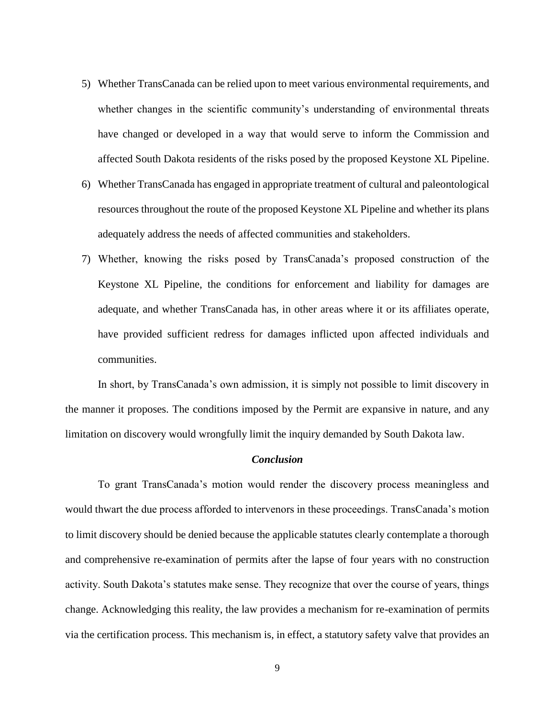- 5) Whether TransCanada can be relied upon to meet various environmental requirements, and whether changes in the scientific community's understanding of environmental threats have changed or developed in a way that would serve to inform the Commission and affected South Dakota residents of the risks posed by the proposed Keystone XL Pipeline.
- 6) Whether TransCanada has engaged in appropriate treatment of cultural and paleontological resources throughout the route of the proposed Keystone XL Pipeline and whether its plans adequately address the needs of affected communities and stakeholders.
- 7) Whether, knowing the risks posed by TransCanada's proposed construction of the Keystone XL Pipeline, the conditions for enforcement and liability for damages are adequate, and whether TransCanada has, in other areas where it or its affiliates operate, have provided sufficient redress for damages inflicted upon affected individuals and communities.

In short, by TransCanada's own admission, it is simply not possible to limit discovery in the manner it proposes. The conditions imposed by the Permit are expansive in nature, and any limitation on discovery would wrongfully limit the inquiry demanded by South Dakota law.

## *Conclusion*

To grant TransCanada's motion would render the discovery process meaningless and would thwart the due process afforded to intervenors in these proceedings. TransCanada's motion to limit discovery should be denied because the applicable statutes clearly contemplate a thorough and comprehensive re-examination of permits after the lapse of four years with no construction activity. South Dakota's statutes make sense. They recognize that over the course of years, things change. Acknowledging this reality, the law provides a mechanism for re-examination of permits via the certification process. This mechanism is, in effect, a statutory safety valve that provides an